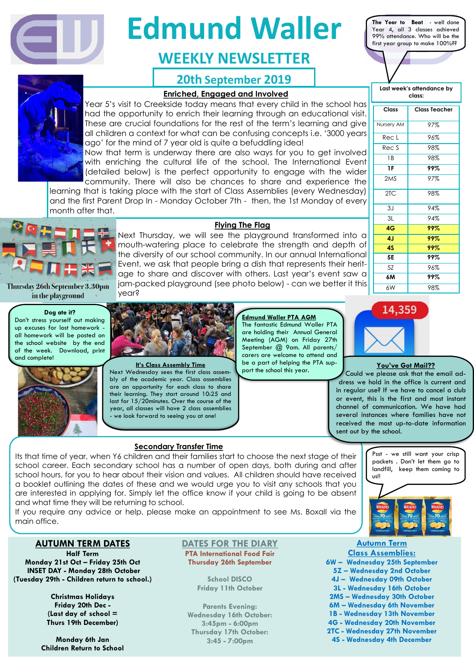#### **Flying The Flag**

Next Thursday, we will see the playground transformed into a mouth-watering place to celebrate the strength and depth of the diversity of our school community. In our annual International Event, we ask that people bring a dish that represents their heritage to share and discover with others. Last year's event saw a jam-packed playground (see photo below) - can we better it this year?

#### **AUTUMN TERM DATES**

**Half Term Monday 21st Oct – Friday 25th Oct INSET DAY - Monday 28th October (Tuesday 29th - Children return to school.)**

> **Christmas Holidays Friday 20th Dec - (Last day of school = Thurs 19th December)**

**Monday 6th Jan Children Return to School**

#### **DATES FOR THE DIARY**

**PTA International Food Fair Thursday 26th September**

> **School DISCO Friday 11th October**

**Parents Evening: Wednesday 16th October: 3:45pm - 6:00pm Thursday 17th October: 3:45 - 7:00pm**



#### **Autumn Term Class Assemblies:**

**6W – Wednesday 25th September 5Z – Wednesday 2nd October 4J – Wednesday 09th October 3L - Wednesday 16th October 2MS – Wednesday 30th October 6M – Wednesday 6th November 1B - Wednesday 13th November 4G - Wednesday 20th November 2TC - Wednesday 27th November 4S - Wednesday 4th December**

Nursery AM 97%  $Rec L$  96%  $Rec S$  98% 1B 98% **1F 99%** 2MS 97% 2TC 98% 3J 94% 3L 94% **4G 99% 4J 99% 4S 99% 5E 99%** 5Z 96% **6M 99%** 6W 98%

**Thursday 26th September 3.30pm** in the playground

### **20th September 2019**



#### **Enriched, Engaged and Involved <b>Class: Class:**



# **Edmund Waller**

### **WEEKLY NEWSLETTER**

**Last week's attendance by** 

Year 5's visit to Creekside today means that every child in the school has had the opportunity to enrich their learning through an educational visit. These are crucial foundations for the rest of the term's learning and give all children a context for what can be confusing concepts i.e. '3000 years ago' for the mind of 7 year old is quite a befuddling idea!

Next Wednesday sees the first class assembly of the academic year. Class assemblies are an opportunity for each class to share their learning. They start around 10:25 and last for 15/20minutes. Over the course of the year, all classes will have 2 class assemblies we look forward to seeing you at one!

Now that term is underway there are also ways for you to get involved with enriching the cultural life of the school. The International Event (detailed below) is the perfect opportunity to engage with the wider community. There will also be chances to share and experience the

learning that is taking place with the start of Class Assemblies (every Wednesday) and the first Parent Drop In - Monday October 7th - then, the 1st Monday of every month after that.



**Class Class Teacher**

#### **Dog ate it?**

Don't stress yourself out making up excuses for lost homework all homework will be posted on the school website by the end of the week. Download, print and complete!





#### **Secondary Transfer Time**

Its that time of year, when Y6 children and their families start to choose the next stage of their school career. Each secondary school has a number of open days, both during and after school hours, for you to hear about their vision and values. All children should have received a booklet outlining the dates of these and we would urge you to visit any schools that you are interested in applying for. Simply let the office know if your child is going to be absent and what time they will be returning to school.

If you require any advice or help, please make an appointment to see Ms. Boxall via the main office.

#### **It's Class Assembly Time**

#### **You've Got Mail??**

Could we please ask that the email address we hold in the office is current and in regular use? If we have to cancel a club or event, this is the first and most instant channel of communication. We have had several instances where families have not received the most up-to-date information sent out by the school.

#### **Edmund Waller PTA AGM**

The fantastic Edmund Waller PTA are holding their Annual General Meeting (AGM) on Friday 27th September @ 9am. All parents/ carers are welcome to attend and be a part of helping the PTA support the school this year.



Psst - we still want your crisp packets . Don't let them go to landfill, keep them coming to us!!

**The Year to Beat** - well done Year 4, all 3 classes achieved 99% attendance. Who will be the first year group to make 100%??